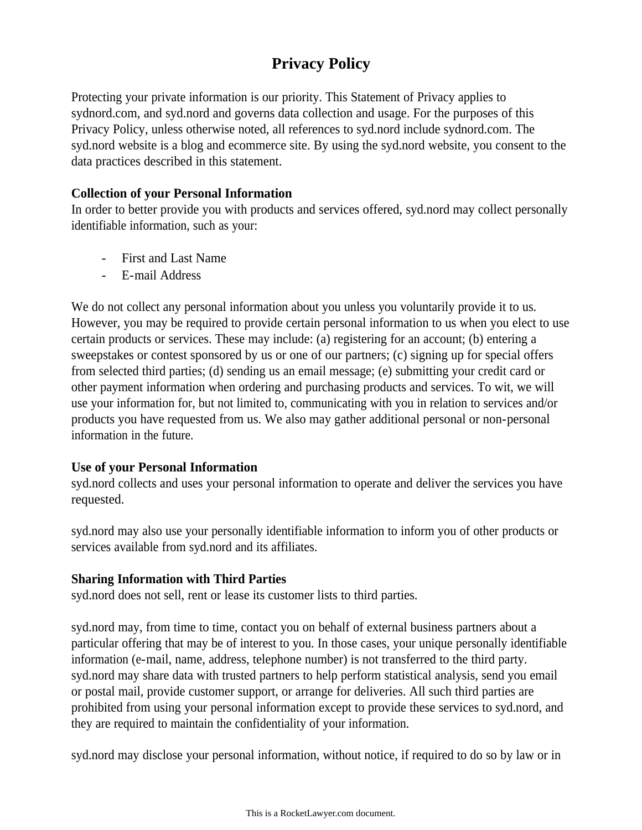# **Privacy Policy**

Protecting your private information is our priority. This Statement of Privacy applies to sydnord.com, and syd.nord and governs data collection and usage. For the purposes of this Privacy Policy, unless otherwise noted, all references to syd.nord include sydnord.com. The syd.nord website is a blog and ecommerce site. By using the syd.nord website, you consent to the data practices described in this statement.

#### **Collection of your Personal Information**

In order to better provide you with products and services offered, syd.nord may collect personally identifiable information, such as your:

- First and Last Name
- E-mail Address

We do not collect any personal information about you unless you voluntarily provide it to us. However, you may be required to provide certain personal information to us when you elect to use certain products or services. These may include: (a) registering for an account; (b) entering a sweepstakes or contest sponsored by us or one of our partners; (c) signing up for special offers from selected third parties; (d) sending us an email message; (e) submitting your credit card or other payment information when ordering and purchasing products and services. To wit, we will use your information for, but not limited to, communicating with you in relation to services and/or products you have requested from us. We also may gather additional personal or non-personal information in the future.

### **Use of your Personal Information**

syd.nord collects and uses your personal information to operate and deliver the services you have requested.

syd.nord may also use your personally identifiable information to inform you of other products or services available from syd.nord and its affiliates.

### **Sharing Information with Third Parties**

syd.nord does not sell, rent or lease its customer lists to third parties.

syd.nord may, from time to time, contact you on behalf of external business partners about a particular offering that may be of interest to you. In those cases, your unique personally identifiable information (e-mail, name, address, telephone number) is not transferred to the third party. syd.nord may share data with trusted partners to help perform statistical analysis, send you email or postal mail, provide customer support, or arrange for deliveries. All such third parties are prohibited from using your personal information except to provide these services to syd.nord, and they are required to maintain the confidentiality of your information.

syd.nord may disclose your personal information, without notice, if required to do so by law or in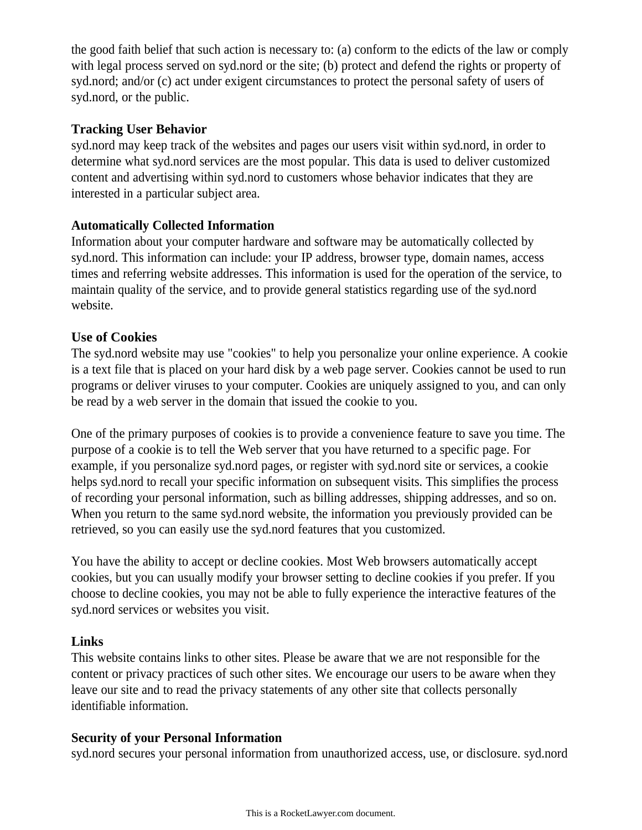the good faith belief that such action is necessary to: (a) conform to the edicts of the law or comply with legal process served on syd.nord or the site; (b) protect and defend the rights or property of syd.nord; and/or (c) act under exigent circumstances to protect the personal safety of users of syd.nord, or the public.

### **Tracking User Behavior**

syd.nord may keep track of the websites and pages our users visit within syd.nord, in order to determine what syd.nord services are the most popular. This data is used to deliver customized content and advertising within syd.nord to customers whose behavior indicates that they are interested in a particular subject area.

### **Automatically Collected Information**

Information about your computer hardware and software may be automatically collected by syd.nord. This information can include: your IP address, browser type, domain names, access times and referring website addresses. This information is used for the operation of the service, to maintain quality of the service, and to provide general statistics regarding use of the syd.nord website.

### **Use of Cookies**

The syd.nord website may use "cookies" to help you personalize your online experience. A cookie is a text file that is placed on your hard disk by a web page server. Cookies cannot be used to run programs or deliver viruses to your computer. Cookies are uniquely assigned to you, and can only be read by a web server in the domain that issued the cookie to you.

One of the primary purposes of cookies is to provide a convenience feature to save you time. The purpose of a cookie is to tell the Web server that you have returned to a specific page. For example, if you personalize syd.nord pages, or register with syd.nord site or services, a cookie helps syd.nord to recall your specific information on subsequent visits. This simplifies the process of recording your personal information, such as billing addresses, shipping addresses, and so on. When you return to the same syd.nord website, the information you previously provided can be retrieved, so you can easily use the syd.nord features that you customized.

You have the ability to accept or decline cookies. Most Web browsers automatically accept cookies, but you can usually modify your browser setting to decline cookies if you prefer. If you choose to decline cookies, you may not be able to fully experience the interactive features of the syd.nord services or websites you visit.

# **Links**

This website contains links to other sites. Please be aware that we are not responsible for the content or privacy practices of such other sites. We encourage our users to be aware when they leave our site and to read the privacy statements of any other site that collects personally identifiable information.

# **Security of your Personal Information**

syd.nord secures your personal information from unauthorized access, use, or disclosure. syd.nord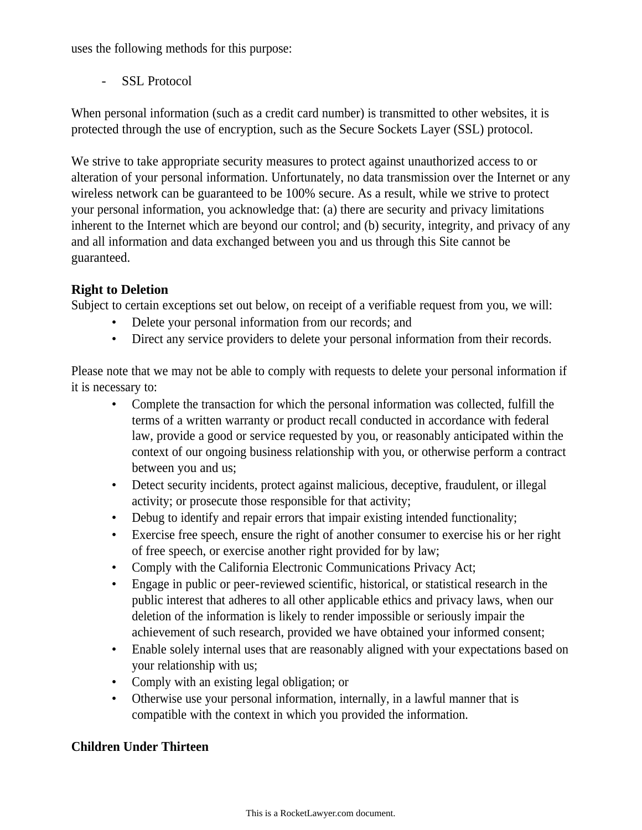uses the following methods for this purpose:

SSL Protocol

When personal information (such as a credit card number) is transmitted to other websites, it is protected through the use of encryption, such as the Secure Sockets Layer (SSL) protocol.

We strive to take appropriate security measures to protect against unauthorized access to or alteration of your personal information. Unfortunately, no data transmission over the Internet or any wireless network can be guaranteed to be 100% secure. As a result, while we strive to protect your personal information, you acknowledge that: (a) there are security and privacy limitations inherent to the Internet which are beyond our control; and (b) security, integrity, and privacy of any and all information and data exchanged between you and us through this Site cannot be guaranteed.

# **Right to Deletion**

Subject to certain exceptions set out below, on receipt of a verifiable request from you, we will:

- Delete your personal information from our records; and
- Direct any service providers to delete your personal information from their records.

Please note that we may not be able to comply with requests to delete your personal information if it is necessary to:

- Complete the transaction for which the personal information was collected, fulfill the terms of a written warranty or product recall conducted in accordance with federal law, provide a good or service requested by you, or reasonably anticipated within the context of our ongoing business relationship with you, or otherwise perform a contract between you and us;
- Detect security incidents, protect against malicious, deceptive, fraudulent, or illegal activity; or prosecute those responsible for that activity;
- Debug to identify and repair errors that impair existing intended functionality;
- Exercise free speech, ensure the right of another consumer to exercise his or her right of free speech, or exercise another right provided for by law;
- Comply with the California Electronic Communications Privacy Act;
- Engage in public or peer-reviewed scientific, historical, or statistical research in the public interest that adheres to all other applicable ethics and privacy laws, when our deletion of the information is likely to render impossible or seriously impair the achievement of such research, provided we have obtained your informed consent;
- Enable solely internal uses that are reasonably aligned with your expectations based on your relationship with us;
- Comply with an existing legal obligation; or
- Otherwise use your personal information, internally, in a lawful manner that is compatible with the context in which you provided the information.

# **Children Under Thirteen**